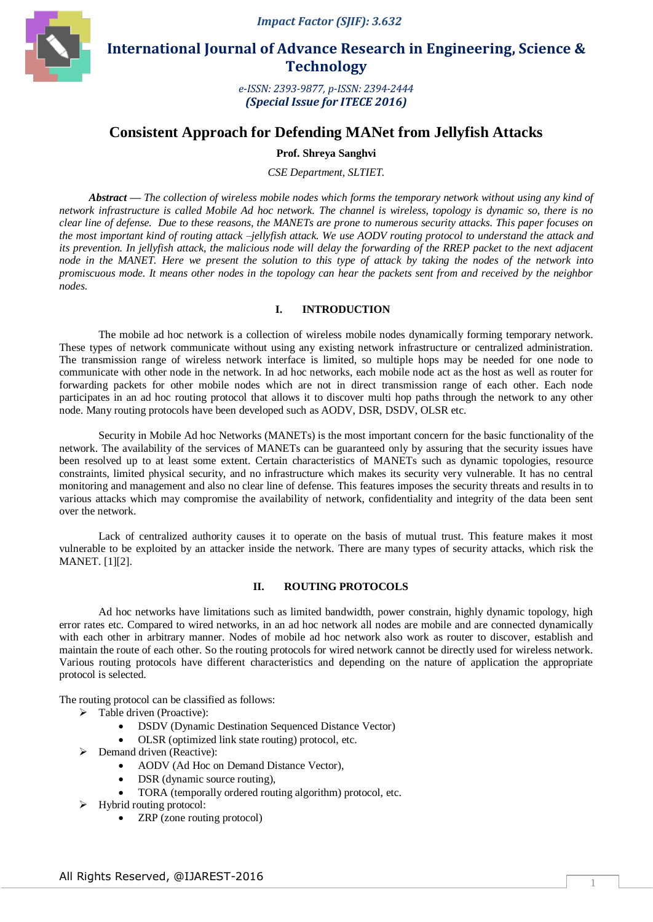*Impact Factor (SJIF): 3.632*



 **International Journal of Advance Research in Engineering, Science & Technology** 

> *e-ISSN: 2393-9877, p-ISSN: 2394-2444 (Special Issue for ITECE 2016)*

# **Consistent Approach for Defending MANet from Jellyfish Attacks**

**Prof. Shreya Sanghvi**

*CSE Department, SLTIET.*

*Abstract* **—** *The collection of wireless mobile nodes which forms the temporary network without using any kind of network infrastructure is called Mobile Ad hoc network. The channel is wireless, topology is dynamic so, there is no clear line of defense. Due to these reasons, the MANETs are prone to numerous security attacks. This paper focuses on the most important kind of routing attack –jellyfish attack. We use AODV routing protocol to understand the attack and its prevention. In jellyfish attack, the malicious node will delay the forwarding of the RREP packet to the next adjacent node in the MANET. Here we present the solution to this type of attack by taking the nodes of the network into promiscuous mode. It means other nodes in the topology can hear the packets sent from and received by the neighbor nodes.* 

#### **I. INTRODUCTION**

The mobile ad hoc network is a collection of wireless mobile nodes dynamically forming temporary network. These types of network communicate without using any existing network infrastructure or centralized administration. The transmission range of wireless network interface is limited, so multiple hops may be needed for one node to communicate with other node in the network. In ad hoc networks, each mobile node act as the host as well as router for forwarding packets for other mobile nodes which are not in direct transmission range of each other. Each node participates in an ad hoc routing protocol that allows it to discover multi hop paths through the network to any other node. Many routing protocols have been developed such as AODV, DSR, DSDV, OLSR etc.

Security in Mobile Ad hoc Networks (MANETs) is the most important concern for the basic functionality of the network. The availability of the services of MANETs can be guaranteed only by assuring that the security issues have been resolved up to at least some extent. Certain characteristics of MANETs such as dynamic topologies, resource constraints, limited physical security, and no infrastructure which makes its security very vulnerable. It has no central monitoring and management and also no clear line of defense. This features imposes the security threats and results in to various attacks which may compromise the availability of network, confidentiality and integrity of the data been sent over the network.

Lack of centralized authority causes it to operate on the basis of mutual trust. This feature makes it most vulnerable to be exploited by an attacker inside the network. There are many types of security attacks, which risk the MANET. [1][2].

#### **II. ROUTING PROTOCOLS**

Ad hoc networks have limitations such as limited bandwidth, power constrain, highly dynamic topology, high error rates etc. Compared to wired networks, in an ad hoc network all nodes are mobile and are connected dynamically with each other in arbitrary manner. Nodes of mobile ad hoc network also work as router to discover, establish and maintain the route of each other. So the routing protocols for wired network cannot be directly used for wireless network. Various routing protocols have different characteristics and depending on the nature of application the appropriate protocol is selected.

The routing protocol can be classified as follows:

- $\triangleright$  Table driven (Proactive):
	- DSDV (Dynamic Destination Sequenced Distance Vector)
	- OLSR (optimized link state routing) protocol, etc.
- $\triangleright$  Demand driven (Reactive):
	- AODV (Ad Hoc on Demand Distance Vector),
	- DSR (dynamic source routing),
	- TORA (temporally ordered routing algorithm) protocol, etc.

Hybrid routing protocol:

ZRP (zone routing protocol)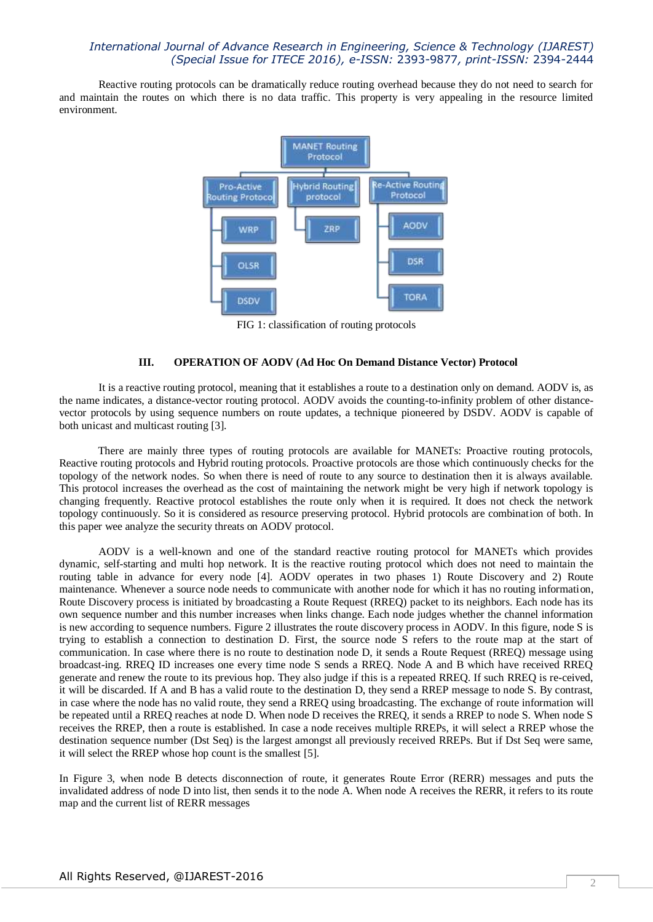Reactive routing protocols can be dramatically reduce routing overhead because they do not need to search for and maintain the routes on which there is no data traffic. This property is very appealing in the resource limited environment.



FIG 1: classification of routing protocols

#### **III. OPERATION OF AODV (Ad Hoc On Demand Distance Vector) Protocol**

It is a reactive routing protocol, meaning that it establishes a route to a destination only on demand. AODV is, as the name indicates, a distance-vector routing protocol. AODV avoids the counting-to-infinity problem of other distancevector protocols by using sequence numbers on route updates, a technique pioneered by DSDV. AODV is capable of both unicast and multicast routing [3].

There are mainly three types of routing protocols are available for MANETs: Proactive routing protocols, Reactive routing protocols and Hybrid routing protocols. Proactive protocols are those which continuously checks for the topology of the network nodes. So when there is need of route to any source to destination then it is always available. This protocol increases the overhead as the cost of maintaining the network might be very high if network topology is changing frequently. Reactive protocol establishes the route only when it is required. It does not check the network topology continuously. So it is considered as resource preserving protocol. Hybrid protocols are combination of both. In this paper wee analyze the security threats on AODV protocol.

AODV is a well-known and one of the standard reactive routing protocol for MANETs which provides dynamic, self-starting and multi hop network. It is the reactive routing protocol which does not need to maintain the routing table in advance for every node [4]. AODV operates in two phases 1) Route Discovery and 2) Route maintenance. Whenever a source node needs to communicate with another node for which it has no routing information, Route Discovery process is initiated by broadcasting a Route Request (RREQ) packet to its neighbors. Each node has its own sequence number and this number increases when links change. Each node judges whether the channel information is new according to sequence numbers. Figure 2 illustrates the route discovery process in AODV. In this figure, node S is trying to establish a connection to destination D. First, the source node S refers to the route map at the start of communication. In case where there is no route to destination node D, it sends a Route Request (RREQ) message using broadcast-ing. RREQ ID increases one every time node S sends a RREQ. Node A and B which have received RREQ generate and renew the route to its previous hop. They also judge if this is a repeated RREQ. If such RREQ is re-ceived, it will be discarded. If A and B has a valid route to the destination D, they send a RREP message to node S. By contrast, in case where the node has no valid route, they send a RREQ using broadcasting. The exchange of route information will be repeated until a RREQ reaches at node D. When node D receives the RREQ, it sends a RREP to node S. When node S receives the RREP, then a route is established. In case a node receives multiple RREPs, it will select a RREP whose the destination sequence number (Dst Seq) is the largest amongst all previously received RREPs. But if Dst Seq were same, it will select the RREP whose hop count is the smallest [5].

In Figure 3, when node B detects disconnection of route, it generates Route Error (RERR) messages and puts the invalidated address of node D into list, then sends it to the node A. When node A receives the RERR, it refers to its route map and the current list of RERR messages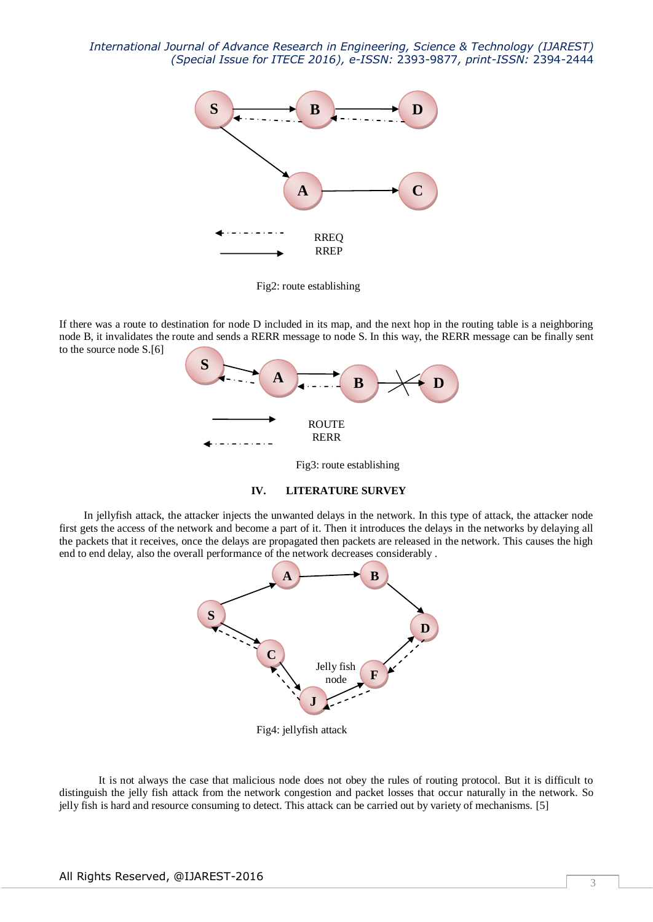

Fig2: route establishing

If there was a route to destination for node D included in its map, and the next hop in the routing table is a neighboring node B, it invalidates the route and sends a RERR message to node S. In this way, the RERR message can be finally sent to the source node S.[6]



Fig3: route establishing

# **IV. LITERATURE SURVEY**

In jellyfish attack, the attacker injects the unwanted delays in the network. In this type of attack, the attacker node first gets the access of the network and become a part of it. Then it introduces the delays in the networks by delaying all the packets that it receives, once the delays are propagated then packets are released in the network. This causes the high end to end delay, also the overall performance of the network decreases considerably .



Fig4: jellyfish attack

It is not always the case that malicious node does not obey the rules of routing protocol. But it is difficult to distinguish the jelly fish attack from the network congestion and packet losses that occur naturally in the network. So jelly fish is hard and resource consuming to detect. This attack can be carried out by variety of mechanisms. [5]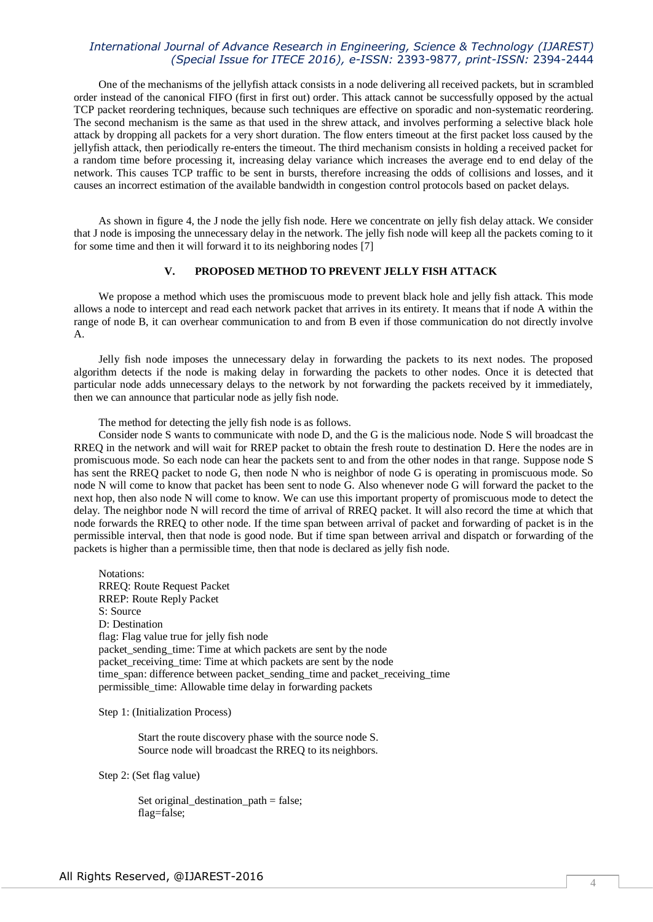One of the mechanisms of the jellyfish attack consists in a node delivering all received packets, but in scrambled order instead of the canonical FIFO (first in first out) order. This attack cannot be successfully opposed by the actual TCP packet reordering techniques, because such techniques are effective on sporadic and non-systematic reordering. The second mechanism is the same as that used in the shrew attack, and involves performing a selective black hole attack by dropping all packets for a very short duration. The flow enters timeout at the first packet loss caused by the jellyfish attack, then periodically re-enters the timeout. The third mechanism consists in holding a received packet for a random time before processing it, increasing delay variance which increases the average end to end delay of the network. This causes TCP traffic to be sent in bursts, therefore increasing the odds of collisions and losses, and it causes an incorrect estimation of the available bandwidth in congestion control protocols based on packet delays.

As shown in figure 4, the J node the jelly fish node. Here we concentrate on jelly fish delay attack. We consider that J node is imposing the unnecessary delay in the network. The jelly fish node will keep all the packets coming to it for some time and then it will forward it to its neighboring nodes [7]

## **V. PROPOSED METHOD TO PREVENT JELLY FISH ATTACK**

We propose a method which uses the promiscuous mode to prevent black hole and jelly fish attack. This mode allows a node to intercept and read each network packet that arrives in its entirety. It means that if node A within the range of node B, it can overhear communication to and from B even if those communication do not directly involve A.

Jelly fish node imposes the unnecessary delay in forwarding the packets to its next nodes. The proposed algorithm detects if the node is making delay in forwarding the packets to other nodes. Once it is detected that particular node adds unnecessary delays to the network by not forwarding the packets received by it immediately, then we can announce that particular node as jelly fish node.

The method for detecting the jelly fish node is as follows.

Consider node S wants to communicate with node D, and the G is the malicious node. Node S will broadcast the RREQ in the network and will wait for RREP packet to obtain the fresh route to destination D. Here the nodes are in promiscuous mode. So each node can hear the packets sent to and from the other nodes in that range. Suppose node S has sent the RREQ packet to node G, then node N who is neighbor of node G is operating in promiscuous mode. So node N will come to know that packet has been sent to node G. Also whenever node G will forward the packet to the next hop, then also node N will come to know. We can use this important property of promiscuous mode to detect the delay. The neighbor node N will record the time of arrival of RREQ packet. It will also record the time at which that node forwards the RREQ to other node. If the time span between arrival of packet and forwarding of packet is in the permissible interval, then that node is good node. But if time span between arrival and dispatch or forwarding of the packets is higher than a permissible time, then that node is declared as jelly fish node.

Notations: RREQ: Route Request Packet RREP: Route Reply Packet S: Source D: Destination flag: Flag value true for jelly fish node packet\_sending\_time: Time at which packets are sent by the node packet\_receiving\_time: Time at which packets are sent by the node time\_span: difference between packet\_sending\_time and packet\_receiving\_time permissible\_time: Allowable time delay in forwarding packets

Step 1: (Initialization Process)

Start the route discovery phase with the source node S. Source node will broadcast the RREQ to its neighbors.

Step 2: (Set flag value)

Set original\_destination\_path = false; flag=false;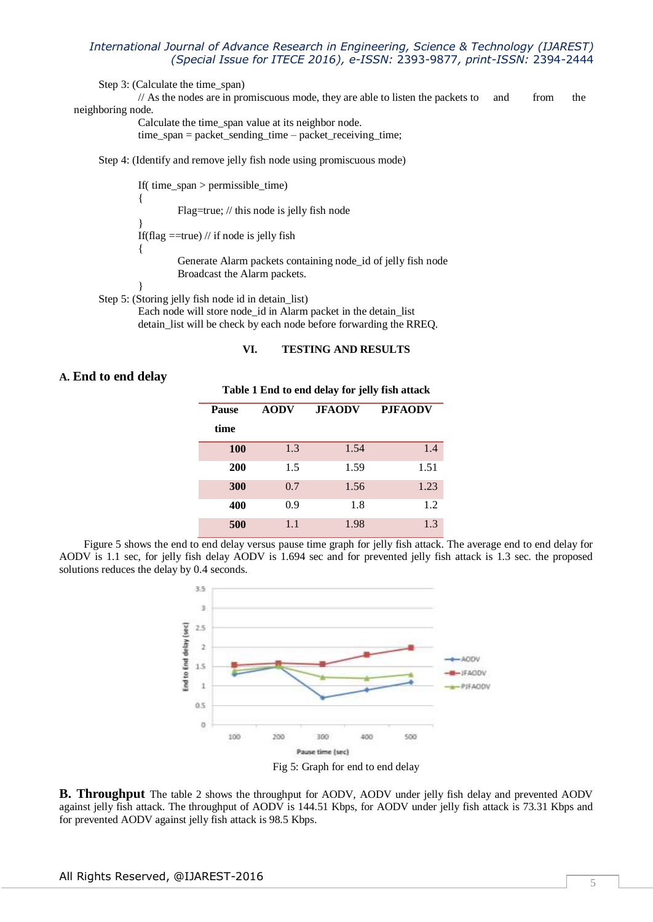Step 3: (Calculate the time\_span)

// As the nodes are in promiscuous mode, they are able to listen the packets to and from the neighboring node.

> Calculate the time\_span value at its neighbor node. time\_span = packet\_sending\_time – packet\_receiving\_time;

Step 4: (Identify and remove jelly fish node using promiscuous mode)

If( time\_span > permissible\_time) { Flag=true; // this node is jelly fish node } If(flag  $=$ true) // if node is jelly fish { Generate Alarm packets containing node\_id of jelly fish node Broadcast the Alarm packets. }

Step 5: (Storing jelly fish node id in detain\_list)

Each node will store node\_id in Alarm packet in the detain\_list detain\_list will be check by each node before forwarding the RREQ.

#### **VI. TESTING AND RESULTS**

### **A. End to end delay**

**Table 1 End to end delay for jelly fish attack**

| <b>Pause</b><br>time | <b>AODV</b> | <b>JFAODV</b> | <b>PJFAODV</b> |
|----------------------|-------------|---------------|----------------|
| <b>100</b>           | 1.3         | 1.54          | 1.4            |
| <b>200</b>           | 1.5         | 1.59          | 1.51           |
| 300                  | 0.7         | 1.56          | 1.23           |
| 400                  | 0.9         | 1.8           | 1.2            |
| 500                  | 1.1         | 1.98          | 1.3            |

Figure 5 shows the end to end delay versus pause time graph for jelly fish attack. The average end to end delay for AODV is 1.1 sec, for jelly fish delay AODV is 1.694 sec and for prevented jelly fish attack is 1.3 sec. the proposed solutions reduces the delay by 0.4 seconds.



**B. Throughput** The table 2 shows the throughput for AODV, AODV under jelly fish delay and prevented AODV against jelly fish attack. The throughput of AODV is 144.51 Kbps, for AODV under jelly fish attack is 73.31 Kbps and for prevented AODV against jelly fish attack is 98.5 Kbps.